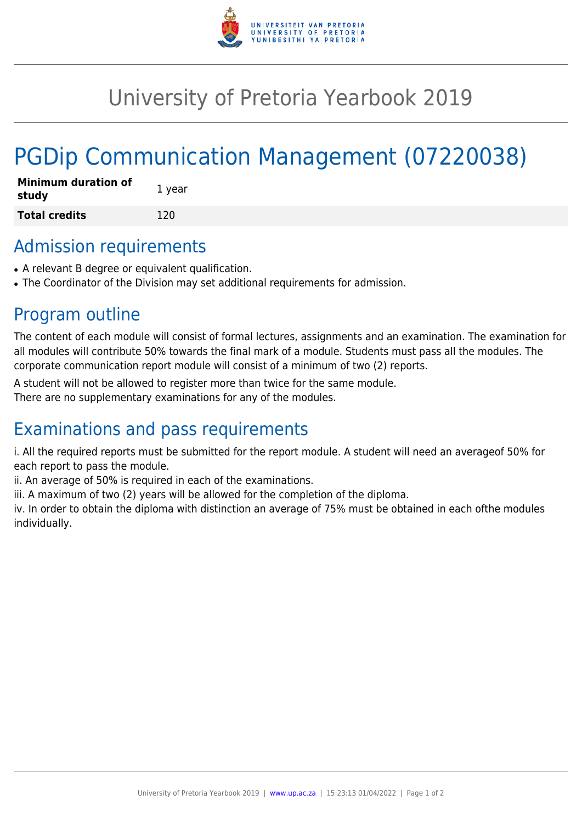

## University of Pretoria Yearbook 2019

# PGDip Communication Management (07220038)

| <b>Minimum duration of</b><br>study | 1 year |
|-------------------------------------|--------|
| <b>Total credits</b>                | 120    |

#### Admission requirements

- A relevant B degree or equivalent qualification.
- The Coordinator of the Division may set additional requirements for admission.

#### Program outline

The content of each module will consist of formal lectures, assignments and an examination. The examination for all modules will contribute 50% towards the final mark of a module. Students must pass all the modules. The corporate communication report module will consist of a minimum of two (2) reports.

A student will not be allowed to register more than twice for the same module.

There are no supplementary examinations for any of the modules.

### Examinations and pass requirements

i. All the required reports must be submitted for the report module. A student will need an averageof 50% for each report to pass the module.

ii. An average of 50% is required in each of the examinations.

iii. A maximum of two (2) years will be allowed for the completion of the diploma.

iv. In order to obtain the diploma with distinction an average of 75% must be obtained in each ofthe modules individually.